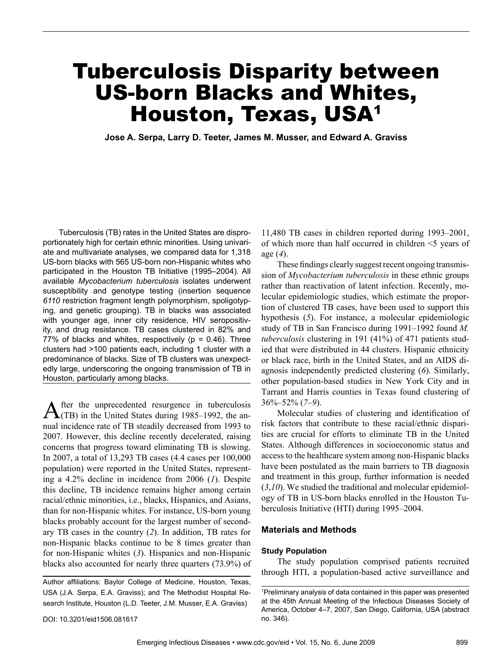# Tuberculosis Disparity between US-born Blacks and Whites, Houston, Texas, USA1

**Jose A. Serpa, Larry D. Teeter, James M. Musser, and Edward A. Graviss**

Tuberculosis (TB) rates in the United States are disproportionately high for certain ethnic minorities. Using univariate and multivariate analyses, we compared data for 1,318 US-born blacks with 565 US-born non-Hispanic whites who participated in the Houston TB Initiative (1995–2004). All available *Mycobacterium tuberculosis* isolates underwent susceptibility and genotype testing (insertion sequence *6110* restriction fragment length polymorphism, spoligotyping, and genetic grouping). TB in blacks was associated with younger age, inner city residence, HIV seropositivity, and drug resistance. TB cases clustered in 82% and 77% of blacks and whites, respectively ( $p = 0.46$ ). Three clusters had >100 patients each, including 1 cluster with a predominance of blacks. Size of TB clusters was unexpectedly large, underscoring the ongoing transmission of TB in Houston, particularly among blacks.

fter the unprecedented resurgence in tuberculosis (TB) in the United States during 1985–1992, the annual incidence rate of TB steadily decreased from 1993 to 2007. However, this decline recently decelerated, raising concerns that progress toward eliminating TB is slowing. In 2007, a total of 13,293 TB cases (4.4 cases per 100,000 population) were reported in the United States, representing a 4.2% decline in incidence from 2006 (*1*). Despite this decline, TB incidence remains higher among certain racial/ethnic minorities, i.e., blacks, Hispanics, and Asians, than for non-Hispanic whites. For instance, US-born young blacks probably account for the largest number of secondary TB cases in the country (*2*). In addition, TB rates for non-Hispanic blacks continue to be 8 times greater than for non-Hispanic whites (*3*). Hispanics and non-Hispanic blacks also accounted for nearly three quarters (73.9%) of

DOI: 10.3201/eid1506.081617

11,480 TB cases in children reported during 1993–2001, of which more than half occurred in children <5 years of age (*4*).

These findings clearly suggest recent ongoing transmission of *Mycobacterium tuberculosis* in these ethnic groups rather than reactivation of latent infection. Recently, molecular epidemiologic studies, which estimate the proportion of clustered TB cases, have been used to support this hypothesis (*5*). For instance, a molecular epidemiologic study of TB in San Francisco during 1991–1992 found *M. tuberculosis* clustering in 191 (41%) of 471 patients studied that were distributed in 44 clusters. Hispanic ethnicity or black race, birth in the United States, and an AIDS diagnosis independently predicted clustering (*6*). Similarly, other population-based studies in New York City and in Tarrant and Harris counties in Texas found clustering of 36%–52% (*7*–*9*).

Molecular studies of clustering and identification of risk factors that contribute to these racial/ethnic disparities are crucial for efforts to eliminate TB in the United States. Although differences in socioeconomic status and access to the healthcare system among non-Hispanic blacks have been postulated as the main barriers to TB diagnosis and treatment in this group, further information is needed (*3*,*10*). We studied the traditional and molecular epidemiology of TB in US-born blacks enrolled in the Houston Tuberculosis Initiative (HTI) during 1995–2004.

#### **Materials and Methods**

## **Study Population**

The study population comprised patients recruited through HTI, a population-based active surveillance and

Author affiliations: Baylor College of Medicine, Houston, Texas, USA (J.A. Serpa, E.A. Graviss); and The Methodist Hospital Research Institute, Houston (L.D. Teeter, J.M. Musser, E.A. Graviss)

<sup>1</sup> Preliminary analysis of data contained in this paper was presented at the 45th Annual Meeting of the Infectious Diseases Society of America, October 4–7, 2007, San Diego, California, USA (abstract no. 346).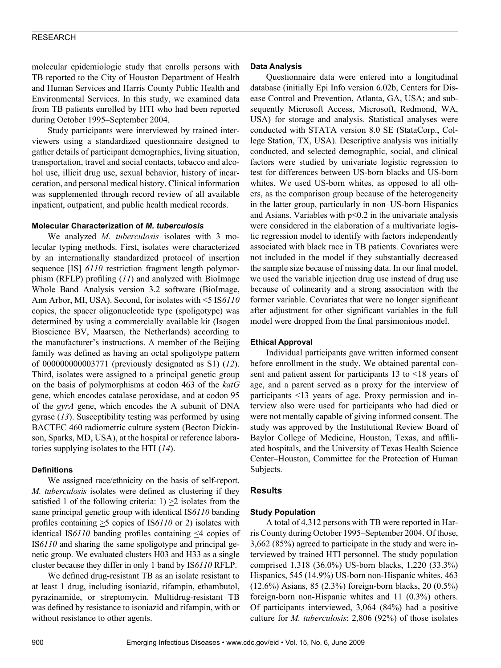# RESEARCH

molecular epidemiologic study that enrolls persons with TB reported to the City of Houston Department of Health and Human Services and Harris County Public Health and Environmental Services. In this study, we examined data from TB patients enrolled by HTI who had been reported during October 1995–September 2004.

Study participants were interviewed by trained interviewers using a standardized questionnaire designed to gather details of participant demographics, living situation, transportation, travel and social contacts, tobacco and alcohol use, illicit drug use, sexual behavior, history of incarceration, and personal medical history. Clinical information was supplemented through record review of all available inpatient, outpatient, and public health medical records.

## **Molecular Characterization of** *M. tuberculosis*

We analyzed *M. tuberculosis* isolates with 3 molecular typing methods. First, isolates were characterized by an internationally standardized protocol of insertion sequence [IS]  $6110$  restriction fragment length polymorphism (RFLP) profiling (*11*) and analyzed with BioImage Whole Band Analysis version 3.2 software (BioImage, Ann Arbor, MI, USA). Second, for isolates with <5 IS*6110* copies, the spacer oligonucleotide type (spoligotype) was determined by using a commercially available kit (Isogen Bioscience BV, Maarsen, the Netherlands) according to the manufacturer's instructions. A member of the Beijing family was defined as having an octal spoligotype pattern of 000000000003771 (previously designated as S1) (*12*). Third, isolates were assigned to a principal genetic group on the basis of polymorphisms at codon 463 of the *katG* gene, which encodes catalase peroxidase, and at codon 95 of the *gyrA* gene, which encodes the A subunit of DNA gyrase (*13*). Susceptibility testing was performed by using BACTEC 460 radiometric culture system (Becton Dickinson, Sparks, MD, USA), at the hospital or reference laboratories supplying isolates to the HTI (*14*).

## **Definitions**

We assigned race/ethnicity on the basis of self-report. *M. tuberculosis* isolates were defined as clustering if they satisfied 1 of the following criteria:  $1) \geq 2$  isolates from the same principal genetic group with identical IS*6110* banding profiles containing >5 copies of IS*6110* or 2) isolates with identical IS $6110$  banding profiles containing  $\leq 4$  copies of IS*6110* and sharing the same spoligotype and principal genetic group. We evaluated clusters H03 and H33 as a single cluster because they differ in only 1 band by IS*6110* RFLP.

We defined drug-resistant TB as an isolate resistant to at least 1 drug, including isoniazid, rifampin, ethambutol, pyrazinamide, or streptomycin. Multidrug-resistant TB was defined by resistance to isoniazid and rifampin, with or without resistance to other agents.

# **Data Analysis**

Questionnaire data were entered into a longitudinal database (initially Epi Info version 6.02b, Centers for Disease Control and Prevention, Atlanta, GA, USA; and subsequently Microsoft Access, Microsoft, Redmond, WA, USA) for storage and analysis. Statistical analyses were conducted with STATA version 8.0 SE (StataCorp., College Station, TX, USA). Descriptive analysis was initially conducted, and selected demographic, social, and clinical factors were studied by univariate logistic regression to test for differences between US-born blacks and US-born whites. We used US-born whites, as opposed to all others, as the comparison group because of the heterogeneity in the latter group, particularly in non–US-born Hispanics and Asians. Variables with  $p<0.2$  in the univariate analysis were considered in the elaboration of a multivariate logistic regression model to identify with factors independently associated with black race in TB patients. Covariates were not included in the model if they substantially decreased the sample size because of missing data. In our final model, we used the variable injection drug use instead of drug use because of colinearity and a strong association with the former variable. Covariates that were no longer significant after adjustment for other significant variables in the full model were dropped from the final parsimonious model.

## **Ethical Approval**

Individual participants gave written informed consent before enrollment in the study. We obtained parental consent and patient assent for participants 13 to <18 years of age, and a parent served as a proxy for the interview of participants <13 years of age. Proxy permission and interview also were used for participants who had died or were not mentally capable of giving informed consent. The study was approved by the Institutional Review Board of Baylor College of Medicine, Houston, Texas, and affiliated hospitals, and the University of Texas Health Science Center–Houston, Committee for the Protection of Human Subjects.

#### **Results**

## **Study Population**

A total of 4,312 persons with TB were reported in Harris County during October 1995–September 2004. Of those, 3,662 (85%) agreed to participate in the study and were interviewed by trained HTI personnel. The study population comprised 1,318 (36.0%) US-born blacks, 1,220 (33.3%) Hispanics, 545 (14.9%) US-born non-Hispanic whites, 463 (12.6%) Asians, 85 (2.3%) foreign-born blacks, 20 (0.5%) foreign-born non-Hispanic whites and 11 (0.3%) others. Of participants interviewed, 3,064 (84%) had a positive culture for *M. tuberculosis*; 2,806 (92%) of those isolates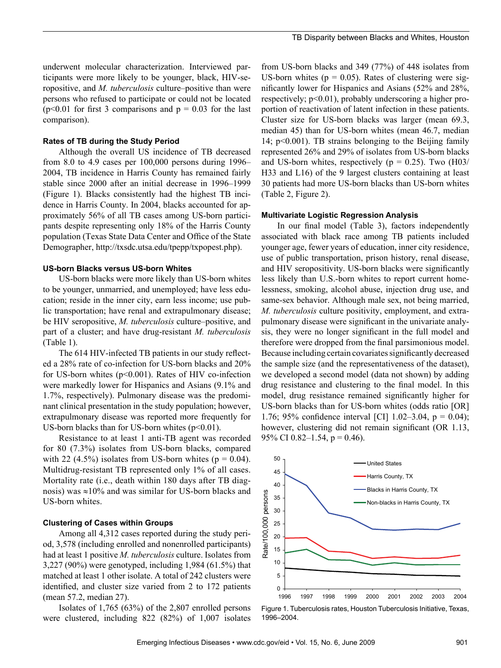underwent molecular characterization. Interviewed participants were more likely to be younger, black, HIV-seropositive, and *M. tuberculosis* culture–positive than were persons who refused to participate or could not be located  $(p<0.01$  for first 3 comparisons and  $p = 0.03$  for the last comparison).

## **Rates of TB during the Study Period**

Although the overall US incidence of TB decreased from 8.0 to 4.9 cases per 100,000 persons during 1996– 2004, TB incidence in Harris County has remained fairly stable since 2000 after an initial decrease in 1996–1999 (Figure 1). Blacks consistently had the highest TB incidence in Harris County. In 2004, blacks accounted for approximately 56% of all TB cases among US-born participants despite representing only 18% of the Harris County population (Texas State Data Center and Office of the State Demographer, http://txsdc.utsa.edu/tpepp/txpopest.php).

## **US-born Blacks versus US-born Whites**

US-born blacks were more likely than US-born whites to be younger, unmarried, and unemployed; have less education; reside in the inner city, earn less income; use public transportation; have renal and extrapulmonary disease; be HIV seropositive, *M. tuberculosis* culture–positive, and part of a cluster; and have drug-resistant *M. tuberculosis* (Table 1).

The 614 HIV-infected TB patients in our study reflected a 28% rate of co-infection for US-born blacks and 20% for US-born whites (p<0.001). Rates of HIV co-infection were markedly lower for Hispanics and Asians (9.1% and 1.7%, respectively). Pulmonary disease was the predominant clinical presentation in the study population; however, extrapulmonary disease was reported more frequently for US-born blacks than for US-born whites  $(p<0.01)$ .

Resistance to at least 1 anti-TB agent was recorded for 80 (7.3%) isolates from US-born blacks, compared with 22 (4.5%) isolates from US-born whites ( $p = 0.04$ ). Multidrug-resistant TB represented only 1% of all cases. Mortality rate (i.e., death within 180 days after TB diagnosis) was  $\approx 10\%$  and was similar for US-born blacks and US-born whites.

#### **Clustering of Cases within Groups**

Among all 4,312 cases reported during the study period, 3,578 (including enrolled and nonenrolled participants) had at least 1 positive *M. tuberculosis* culture. Isolates from 3,227 (90%) were genotyped, including 1,984 (61.5%) that matched at least 1 other isolate. A total of 242 clusters were identified, and cluster size varied from 2 to 172 patients (mean 57.2, median 27).

Isolates of 1,765 (63%) of the 2,807 enrolled persons were clustered, including 822 (82%) of 1,007 isolates

from US-born blacks and 349 (77%) of 448 isolates from US-born whites ( $p = 0.05$ ). Rates of clustering were significantly lower for Hispanics and Asians (52% and 28%, respectively; p<0.01), probably underscoring a higher proportion of reactivation of latent infection in these patients. Cluster size for US-born blacks was larger (mean 69.3, median 45) than for US-born whites (mean 46.7, median 14; p<0.001). TB strains belonging to the Beijing family represented 26% and 29% of isolates from US-born blacks and US-born whites, respectively ( $p = 0.25$ ). Two (H03/ H33 and L16) of the 9 largest clusters containing at least 30 patients had more US-born blacks than US-born whites (Table 2, Figure 2).

#### **Multivariate Logistic Regression Analysis**

In our final model (Table 3), factors independently associated with black race among TB patients included younger age, fewer years of education, inner city residence, use of public transportation, prison history, renal disease, and HIV seropositivity. US-born blacks were significantly less likely than U.S.-born whites to report current homelessness, smoking, alcohol abuse, injection drug use, and same-sex behavior. Although male sex, not being married, *M. tuberculosis* culture positivity, employment, and extrapulmonary disease were significant in the univariate analysis, they were no longer significant in the full model and therefore were dropped from the final parsimonious model. Because including certain covariates significantly decreased the sample size (and the representativeness of the dataset), we developed a second model (data not shown) by adding drug resistance and clustering to the final model. In this model, drug resistance remained significantly higher for US-born blacks than for US-born whites (odds ratio [OR] 1.76; 95% confidence interval [CI] 1.02–3.04,  $p = 0.04$ ); however, clustering did not remain significant (OR 1.13, 95% CI 0.82–1.54,  $p = 0.46$ ).



Figure 1. Tuberculosis rates, Houston Tuberculosis Initiative, Texas, 1996–2004.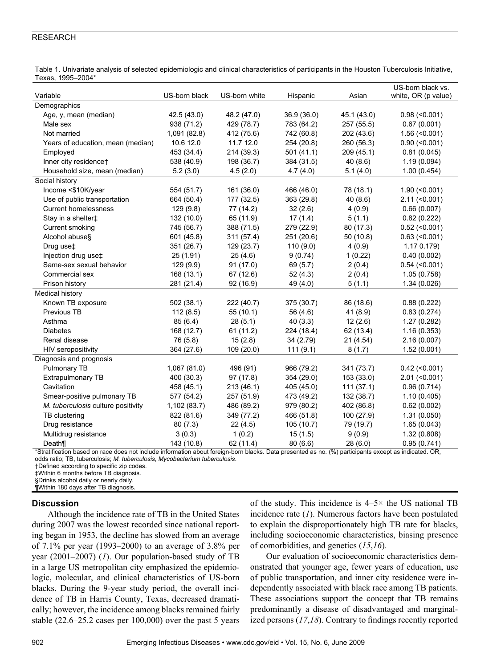# RESEARCH

Table 1. Univariate analysis of selected epidemiologic and clinical characteristics of participants in the Houston Tuberculosis Initiative, Texas, 1995–2004\*

| Variable                           | US-born black | US-born white | Hispanic    | Asian       | US-born black vs.<br>white, OR (p value) |
|------------------------------------|---------------|---------------|-------------|-------------|------------------------------------------|
| Demographics                       |               |               |             |             |                                          |
| Age, y, mean (median)              | 42.5 (43.0)   | 48.2 (47.0)   | 36.9 (36.0) | 45.1 (43.0) | $0.98$ (< $0.001$ )                      |
| Male sex                           | 938 (71.2)    | 429 (78.7)    | 783 (64.2)  | 257 (55.5)  | 0.67(0.001)                              |
| Not married                        | 1,091 (82.8)  | 412 (75.6)    | 742 (60.8)  | 202 (43.6)  | $1.56 \; (<0.001)$                       |
| Years of education, mean (median)  | 10.6 12.0     | 11.7 12.0     | 254 (20.8)  | 260 (56.3)  | $0.90$ (< $0.001$ )                      |
| Employed                           | 453 (34.4)    | 214 (39.3)    | 501 (41.1)  | 209 (45.1)  | 0.81(0.045)                              |
| Inner city residencet              | 538 (40.9)    | 198 (36.7)    | 384 (31.5)  | 40(8.6)     | 1.19(0.094)                              |
| Household size, mean (median)      | 5.2(3.0)      | 4.5(2.0)      | 4.7(4.0)    | 5.1(4.0)    | 1.00(0.454)                              |
| Social history                     |               |               |             |             |                                          |
| Income <\$10K/year                 | 554 (51.7)    | 161 (36.0)    | 466 (46.0)  | 78 (18.1)   | $1.90 \; (<0.001)$                       |
| Use of public transportation       | 664 (50.4)    | 177 (32.5)    | 363 (29.8)  | 40(8.6)     | $2.11 \left( \leq 0.001 \right)$         |
| <b>Current homelessness</b>        | 129(9.8)      | 77 (14.2)     | 32(2.6)     | 4(0.9)      | 0.66(0.007)                              |
| Stay in a shelter‡                 | 132 (10.0)    | 65 (11.9)     | 17(1.4)     | 5(1.1)      | 0.82(0.222)                              |
| Current smoking                    | 745 (56.7)    | 388 (71.5)    | 279 (22.9)  | 80 (17.3)   | $0.52$ (< $0.001$ )                      |
| Alcohol abuse§                     | 601 (45.8)    | 311 (57.4)    | 251 (20.6)  | 50(10.8)    | $0.63$ (< $0.001$ )                      |
| Drug use‡                          | 351 (26.7)    | 129 (23.7)    | 110(9.0)    | 4(0.9)      | 1.170.179                                |
| Injection drug use‡                | 25 (1.91)     | 25(4.6)       | 9(0.74)     | 1(0.22)     | 0.40(0.002)                              |
| Same-sex sexual behavior           | 129(9.9)      | 91(17.0)      | 69 (5.7)    | 2(0.4)      | $0.54$ (< $0.001$ )                      |
| Commercial sex                     | 168 (13.1)    | 67 (12.6)     | 52(4.3)     | 2(0.4)      | 1.05(0.758)                              |
| Prison history                     | 281 (21.4)    | 92(16.9)      | 49 (4.0)    | 5(1.1)      | 1.34(0.026)                              |
| Medical history                    |               |               |             |             |                                          |
| Known TB exposure                  | 502 (38.1)    | 222 (40.7)    | 375 (30.7)  | 86 (18.6)   | 0.88(0.222)                              |
| Previous TB                        | 112(8.5)      | 55(10.1)      | 56 (4.6)    | 41 (8.9)    | 0.83(0.274)                              |
| Asthma                             | 85(6.4)       | 28(5.1)       | 40(3.3)     | 12(2.6)     | 1.27(0.282)                              |
| <b>Diabetes</b>                    | 168 (12.7)    | 61(11.2)      | 224 (18.4)  | 62 (13.4)   | 1.16(0.353)                              |
| Renal disease                      | 76 (5.8)      | 15(2.8)       | 34 (2.79)   | 21(4.54)    | 2.16(0.007)                              |
| HIV seropositivity                 | 364 (27.6)    | 109 (20.0)    | 111(9.1)    | 8(1.7)      | 1.52(0.001)                              |
| Diagnosis and prognosis            |               |               |             |             |                                          |
| Pulmonary TB                       | 1,067(81.0)   | 496 (91)      | 966 (79.2)  | 341 (73.7)  | $0.42$ (< $0.001$ )                      |
| Extrapulmonary TB                  | 400 (30.3)    | 97(17.8)      | 354 (29.0)  | 153 (33.0)  | $2.01 (\le 0.001)$                       |
| Cavitation                         | 458 (45.1)    | 213 (46.1)    | 405 (45.0)  | 111(37.1)   | 0.96(0.714)                              |
| Smear-positive pulmonary TB        | 577 (54.2)    | 257 (51.9)    | 473 (49.2)  | 132 (38.7)  | 1.10(0.405)                              |
| M. tuberculosis culture positivity | 1,102 (83.7)  | 486 (89.2)    | 979 (80.2)  | 402 (86.8)  | 0.62(0.002)                              |
| TB clustering                      | 822 (81.6)    | 349 (77.2)    | 466 (51.8)  | 100(27.9)   | 1.31(0.050)                              |
| Drug resistance                    | 80(7.3)       | 22(4.5)       | 105(10.7)   | 79 (19.7)   | 1.65(0.043)                              |
| Multidrug resistance               | 3(0.3)        | 1(0.2)        | 15(1.5)     | 9(0.9)      | 1.32(0.808)                              |
| Death¶                             | 143 (10.8)    | 62 (11.4)     | 80(6.6)     | 28(6.0)     | 0.95(0.741)                              |

\*Stratification based on race does not include information about foreign-born blacks. Data presented as no. (%) participants except as indicated. OR, odds ratio; TB, tuberculosis; *M. tuberculosis*, *Mycobacterium tuberculosis*.

†Defined according to specific zip codes.

‡Within 6 months before TB diagnosis.

§Drinks alcohol daily or nearly daily. ¶Within 180 days after TB diagnosis.

**Discussion**

Although the incidence rate of TB in the United States during 2007 was the lowest recorded since national reporting began in 1953, the decline has slowed from an average of 7.1% per year (1993–2000) to an average of 3.8% per year (2001–2007) (*1*). Our population-based study of TB in a large US metropolitan city emphasized the epidemiologic, molecular, and clinical characteristics of US-born blacks. During the 9-year study period, the overall incidence of TB in Harris County, Texas, decreased dramatically; however, the incidence among blacks remained fairly stable (22.6–25.2 cases per 100,000) over the past 5 years of the study. This incidence is  $4-5\times$  the US national TB incidence rate (*1*). Numerous factors have been postulated to explain the disproportionately high TB rate for blacks, including socioeconomic characteristics, biasing presence of comorbidities, and genetics (*15*,*16*).

Our evaluation of socioeconomic characteristics demonstrated that younger age, fewer years of education, use of public transportation, and inner city residence were independently associated with black race among TB patients. These associations support the concept that TB remains predominantly a disease of disadvantaged and marginalized persons (*17*,*18*). Contrary to findings recently reported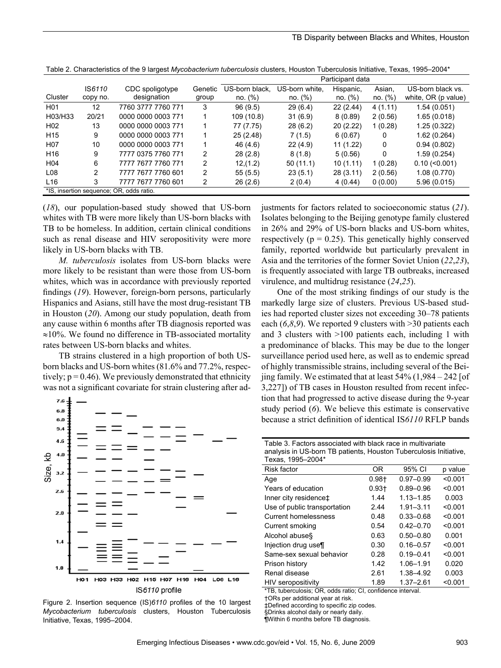|                                          |          |                    | Participant data |                |                |           |         |                     |
|------------------------------------------|----------|--------------------|------------------|----------------|----------------|-----------|---------|---------------------|
|                                          | IS6110   | CDC spoligotype    | Genetic          | US-born black. | US-born white, | Hispanic, | Asian,  | US-born black vs.   |
| Cluster                                  | copy no. | designation        | group            | no. (%)        | no. (%)        | no. (%)   | no. (%) | white, OR (p value) |
| H <sub>01</sub>                          | 12       | 7760 3777 7760 771 | 3                | 96(9.5)        | 29(6.4)        | 22 (2.44) | 4(1.11) | 1.54 (0.051)        |
| H03/H33                                  | 20/21    | 0000 0000 0003 771 |                  | 109 (10.8)     | 31(6.9)        | 8(0.89)   | 2(0.56) | 1.65 (0.018)        |
| H <sub>02</sub>                          | 13       | 0000 0000 0003 771 |                  | 77 (7.75)      | 28(6.2)        | 20(2.22)  | 1(0.28) | 1.25 (0.322)        |
| H <sub>15</sub>                          | 9        | 0000 0000 0003 771 |                  | 25 (2.48)      | 7(1.5)         | 6(0.67)   | 0       | 1.62 (0.264)        |
| H <sub>0</sub> 7                         | 10       | 0000 0000 0003 771 |                  | 46 (4.6)       | 22(4.9)        | 11 (1.22) | 0       | 0.94(0.802)         |
| H <sub>16</sub>                          | 9        | 7777 0375 7760 771 | 2                | 28(2.8)        | 8(1.8)         | 5(0.56)   | 0       | 1.59 (0.254)        |
| H <sub>04</sub>                          | 6        | 7777 7677 7760 771 | 2                | 12,(1.2)       | 50(11.1)       | 10(1.11)  | 1(0.28) | $0.10$ (< $0.001$ ) |
| L <sub>08</sub>                          | 2        | 7777 7677 7760 601 | 2                | 55(5.5)        | 23(5.1)        | 28(3.11)  | 2(0.56) | 1.08 (0.770)        |
| L16                                      | 3        | 7777 7677 7760 601 | 2                | 26(2.6)        | 2(0.4)         | 4 (0.44)  | 0(0.00) | 5.96(0.015)         |
| *IS, insertion sequence; OR, odds ratio. |          |                    |                  |                |                |           |         |                     |

Table 2. Characteristics of the 9 largest *Mycobacterium tuberculosis* clusters, Houston Tuberculosis Initiative, Texas, 1995–2004\*

(*18*), our population-based study showed that US-born whites with TB were more likely than US-born blacks with TB to be homeless. In addition, certain clinical conditions such as renal disease and HIV seropositivity were more likely in US-born blacks with TB.

*M. tuberculosis* isolates from US-born blacks were more likely to be resistant than were those from US-born whites, which was in accordance with previously reported findings (*19*). However, foreign-born persons, particularly Hispanics and Asians, still have the most drug-resistant TB in Houston (*20*). Among our study population, death from any cause within 6 months after TB diagnosis reported was ≈10%. We found no difference in TB-associated mortality rates between US-born blacks and whites.

TB strains clustered in a high proportion of both USborn blacks and US-born whites (81.6% and 77.2%, respectively;  $p = 0.46$ ). We previously demonstrated that ethnicity was not a significant covariate for strain clustering after ad-



Figure 2. Insertion sequence (IS)*6110* profiles of the 10 largest *Mycobacterium tuberculosis* clusters, Houston Tuberculosis Initiative, Texas, 1995–2004.

justments for factors related to socioeconomic status (*21*). Isolates belonging to the Beijing genotype family clustered in 26% and 29% of US-born blacks and US-born whites, respectively ( $p = 0.25$ ). This genetically highly conserved family, reported worldwide but particularly prevalent in Asia and the territories of the former Soviet Union (*22*,*23*), is frequently associated with large TB outbreaks, increased virulence, and multidrug resistance (*24*,*25*).

One of the most striking findings of our study is the markedly large size of clusters. Previous US-based studies had reported cluster sizes not exceeding 30–78 patients each (*6*,*8*,*9*). We reported 9 clusters with >30 patients each and 3 clusters with >100 patients each, including 1 with a predominance of blacks. This may be due to the longer surveillance period used here, as well as to endemic spread of highly transmissible strains, including several of the Beijing family. We estimated that at least  $54\%$  (1,984 – 242 [of 3,227]) of TB cases in Houston resulted from recent infection that had progressed to active disease during the 9-year study period (*6*). We believe this estimate is conservative because a strict definition of identical IS*6110* RFLP bands

| Table 3. Factors associated with black race in multivariate       |
|-------------------------------------------------------------------|
| analysis in US-born TB patients, Houston Tuberculosis Initiative, |
| Texas. 1995–2004*                                                 |

| Risk factor                  | <b>OR</b> | 95% CI        | p value |
|------------------------------|-----------|---------------|---------|
| Age                          | $0.98 +$  | $0.97 - 0.99$ | < 0.001 |
| Years of education           | 0.931     | $0.89 - 0.96$ | < 0.001 |
| Inner city residence‡        | 1.44      | $1.13 - 1.85$ | 0.003   |
| Use of public transportation | 2.44      | $1.91 - 3.11$ | < 0.001 |
| <b>Current homelessness</b>  | 0.48      | $0.33 - 0.68$ | < 0.001 |
| Current smoking              | 0.54      | $0.42 - 0.70$ | < 0.001 |
| Alcohol abuse <sup>§</sup>   | 0.63      | $0.50 - 0.80$ | 0.001   |
| Injection drug use¶          | 0.30      | $0.16 - 0.57$ | < 0.001 |
| Same-sex sexual behavior     | 0.28      | $0.19 - 0.41$ | < 0.001 |
| Prison history               | 1.42      | 1.06-1.91     | 0.020   |
| Renal disease                | 2.61      | 1.38-4.92     | 0.003   |
| <b>HIV seropositivity</b>    | 1.89      | $1.37 - 2.61$ | < 0.001 |

\*TB, tuberculosis; OR, odds ratio; CI, confidence interval.

†ORs per additional year at risk.

‡Defined according to specific zip codes.

§Drinks alcohol daily or nearly daily.

¶Within 6 months before TB diagnosis.